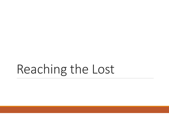# Reaching the Lost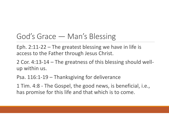## God's Grace — Man's Blessing

Eph. 2:11-22 – The greatest blessing we have in life is access to the Father through Jesus Christ.

2 Cor. 4:13-14 – The greatness of this blessing should well up within us.

Psa. 116:1-19 – Thanksgiving for deliverance

1 Tim. 4:8 - The Gospel, the good news, is beneficial, i.e., has promise for this life and that which is to come.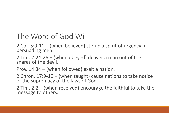## The Word of God Will

2 Cor. 5:9-11 – (when believed) stir up a spirit of urgency in persuading men.

2 Tim. 2:24-26 – (when obeyed) deliver a man out of the snares of the devil.

Prov. 14:34 – (when followed) exalt a nation.

2 Chron. 17:9-10 – (when taught) cause nations to take notice of the supremacy of the laws of God.

2 Tim. 2:2 – (when received) encourage the faithful to take the message to others.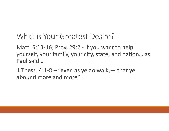#### What is Your Greatest Desire?

Matt. 5:13-16; Prov. 29:2 - If you want to help yourself, your family, your city, state, and nation… as Paul said…

1 Thess. 4:1-8 – "even as ye do walk,  $-$  that ye abound more and more"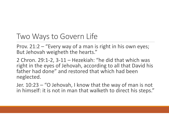## Two Ways to Govern Life

Prov. 21:2 – "Every way of a man is right in his own eyes; But Jehovah weigheth the hearts."

2 Chron. 29:1-2, 3-11 – Hezekiah: "he did that which was right in the eyes of Jehovah, according to all that David his father had done" and restored that which had been neglected.

Jer. 10:23 – "O Jehovah, I know that the way of man is not in himself: it is not in man that walketh to direct his steps."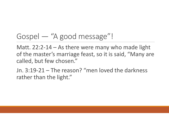# Gospel — "A good message"!

Matt. 22:2-14 – As there were many who made light of the master's marriage feast, so it is said, "Many are called, but few chosen."

Jn. 3:19-21 – The reason? "men loved the darkness rather than the light."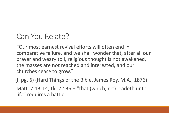## Can You Relate?

"Our most earnest revival efforts will often end in comparative failure, and we shall wonder that, after all our prayer and weary toil, religious thought is not awakened, the masses are not reached and interested, and our churches cease to grow."

(I, pg. 6) (Hard Things of the Bible, James Roy, M.A., 1876)

Matt. 7:13-14; Lk. 22:36 – "that (which, ret) leadeth unto life" requires a battle.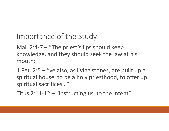Importance of the Study

Mal. 2:4-7 – "The priest's lips should keep knowledge, and they should seek the law at his mouth;"

1 Pet. 2:5 – "ye also, as living stones, are built up a spiritual house, to be a holy priesthood, to offer up spiritual sacrifices…"

Titus 2:11-12 – "instructing us, to the intent"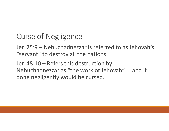# Curse of Negligence

Jer. 25:9 – Nebuchadnezzar is referred to as Jehovah's "servant" to destroy all the nations.

Jer. 48:10 – Refers this destruction by Nebuchadnezzar as "the work of Jehovah" … and if done negligently would be cursed.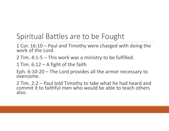# Spiritual Battles are to be Fought

1 Cor. 16:10 – Paul and Timothy were charged with doing the work of the Lord.

2 Tim. 4:1-5 – This work was a ministry to be fulfilled.

1 Tim.  $6:12 - A$  fight of the faith

Eph. 6:10-20 – The Lord provides all the armor necessary to overcome.

2 Tim. 2:2 – Paul told Timothy to take what he had heard and commit it to faithful men who would be able to teach others also.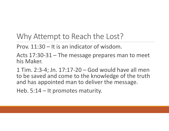### Why Attempt to Reach the Lost?

Prov. 11:30 – It is an indicator of wisdom.

Acts 17:30-31 – The message prepares man to meet his Maker.

1 Tim. 2:3-4; Jn. 17:17-20 – God would have all men to be saved and come to the knowledge of the truth and has appointed man to deliver the message.

Heb. 5:14 – It promotes maturity.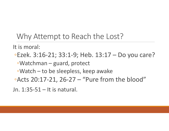#### Why Attempt to Reach the Lost?

It is moral:

◦Ezek. 3:16-21; 33:1-9; Heb. 13:17 – Do you care? ◦Watchman – guard, protect ◦Watch – to be sleepless, keep awake ◦Acts 20:17-21, 26-27 – "Pure from the blood"

Jn. 1:35-51 – It is natural.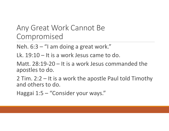#### Any Great Work Cannot Be Compromised

Neh. 6:3 – "I am doing a great work."

Lk. 19:10 – It is a work Jesus came to do.

Matt. 28:19-20 – It is a work Jesus commanded the apostles to do.

2 Tim. 2:2 – It is a work the apostle Paul told Timothy and others to do.

Haggai 1:5 – "Consider your ways."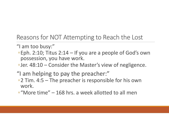Reasons for NOT Attempting to Reach the Lost

- "I am too busy:"
- ◦Eph. 2:10; Titus 2:14 If you are a people of God's own possession, you have work.
- ◦Jer. 48:10 Consider the Master's view of negligence.
- "I am helping to pay the preacher:"
- ◦2 Tim. 4:5 The preacher is responsible for his own work.
- ◦"More time" 168 hrs. a week allotted to all men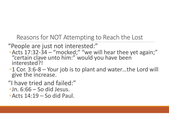Reasons for NOT Attempting to Reach the Lost

- "People are just not interested:"
- Acts 17:32-34 "mocked;" "we will hear thee yet again;" "certain clave unto him:" would you have been interested?!
- ◦1 Cor. 3:6-8 Your job is to plant and water…the Lord will give the increase.
- "I have tried and failed:"  $\circ$ Jn. 6:66 – So did Jesus.
- $\circ$ Acts 14:19 So did Paul.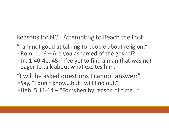Reasons for NOT Attempting to Reach the Lost

- "I am not good at talking to people about religion:" ◦Rom. 1:16 – Are you ashamed of the gospel?
- $\cdot$ Jn. 1:40-41, 45 I've yet to find a man that was not eager to talk about what excites him.
- "I will be asked questions I cannot answer:" ◦Say, "I don't know…but I will find out." ◦Heb. 5:11-14 – "For when by reason of time…"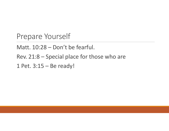Prepare Yourself

Matt. 10:28 – Don't be fearful.

Rev. 21:8 – Special place for those who are

1 Pet. 3:15 – Be ready!